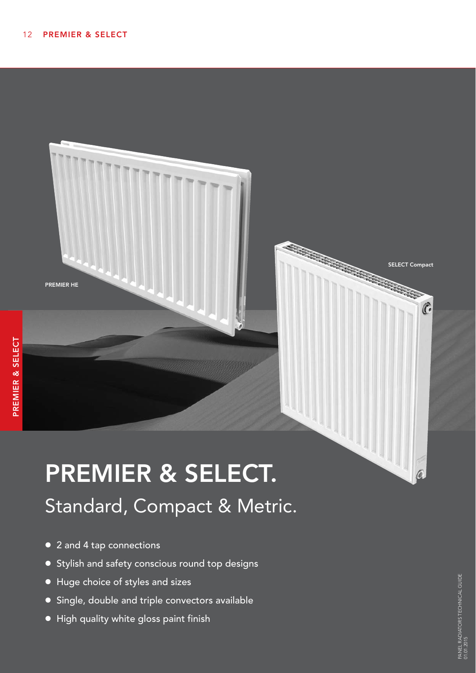

# PREMIER & SELECT. Standard, Compact & Metric.

- 2 and 4 tap connections
- Stylish and safety conscious round top designs
- Huge choice of styles and sizes
- **•** Single, double and triple convectors available
- $\bullet$  High quality white gloss paint finish

SELECT Compact

 $\widehat{C}$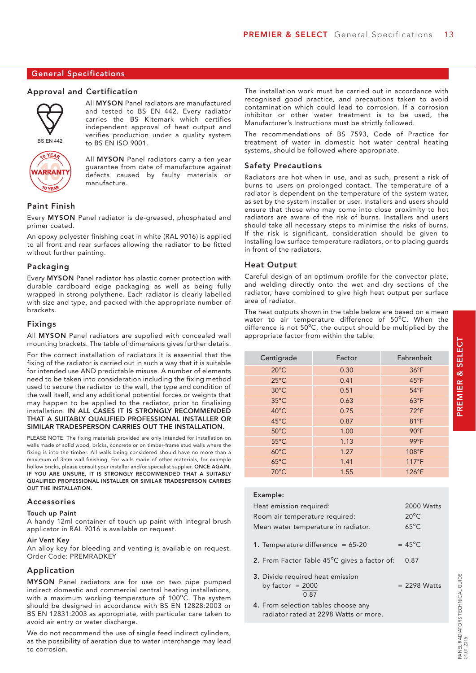#### General Specifications

#### Approval and Certification



All MYSON Panel radiators are manufactured and tested to BS EN 442. Every radiator carries the BS Kitemark which certifies independent approval of heat output and verifies production under a quality system to BS EN ISO 9001.

**ARRANT** 

All MYSON Panel radiators carry a ten year guarantee from date of manufacture against defects caused by faulty materials or manufacture.

#### Paint Finish

Every MYSON Panel radiator is de-greased, phosphated and primer coated.

An epoxy polyester finishing coat in white (RAL 9016) is applied to all front and rear surfaces allowing the radiator to be fitted without further painting.

#### Packaging

Every MYSON Panel radiator has plastic corner protection with durable cardboard edge packaging as well as being fully wrapped in strong polythene. Each radiator is clearly labelled with size and type, and packed with the appropriate number of brackets.

#### Fixings

All MYSON Panel radiators are supplied with concealed wall mounting brackets. The table of dimensions gives further details.

For the correct installation of radiators it is essential that the fixing of the radiator is carried out in such a way that it is suitable for intended use AND predictable misuse. A number of elements need to be taken into consideration including the fixing method used to secure the radiator to the wall, the type and condition of the wall itself, and any additional potential forces or weights that may happen to be applied to the radiator, prior to finalising installation. IN ALL CASES IT IS STRONGLY RECOMMENDED THAT A SUITABLY QUALIFIED PROFESSIONAL INSTALLER OR SIMILAR TRADESPERSON CARRIES OUT THE INSTALLATION.

PLEASE NOTE: The fixing materials provided are only intended for installation on walls made of solid wood, bricks, concrete or on timber-frame stud walls where the fixing is into the timber. All walls being considered should have no more than a maximum of 3mm wall finishing. For walls made of other materials, for example hollow bricks, please consult your installer and/or specialist supplier. ONCE AGAIN, IF YOU ARE UNSURE, IT IS STRONGLY RECOMMENDED THAT A SUITABLY QUALIFIED PROFESSIONAL INSTALLER OR SIMILAR TRADESPERSON CARRIES OUT THE INSTALLATION.

#### Accessories

#### Touch up Paint

A handy 12ml container of touch up paint with integral brush applicator in RAL 9016 is available on request.

#### Air Vent Key

An alloy key for bleeding and venting is available on request. Order Code: PREMRADKEY

#### Application

MYSON Panel radiators are for use on two pipe pumped indirect domestic and commercial central heating installations, with a maximum working temperature of 100°C. The system should be designed in accordance with BS EN 12828:2003 or BS EN 12831:2003 as appropriate, with particular care taken to avoid air entry or water discharge.

We do not recommend the use of single feed indirect cylinders, as the possibility of aeration due to water interchange may lead to corrosion.

The installation work must be carried out in accordance with recognised good practice, and precautions taken to avoid contamination which could lead to corrosion. If a corrosion inhibitor or other water treatment is to be used, the Manufacturer's Instructions must be strictly followed.

The recommendations of BS 7593, Code of Practice for treatment of water in domestic hot water central heating systems, should be followed where appropriate.

#### Safety Precautions

Radiators are hot when in use, and as such, present a risk of burns to users on prolonged contact. The temperature of a radiator is dependent on the temperature of the system water, as set by the system installer or user. Installers and users should ensure that those who may come into close proximity to hot radiators are aware of the risk of burns. Installers and users should take all necessary steps to minimise the risks of burns. If the risk is significant, consideration should be given to installing low surface temperature radiators, or to placing guards in front of the radiators.

#### Heat Output

Careful design of an optimum profile for the convector plate, and welding directly onto the wet and dry sections of the radiator, have combined to give high heat output per surface area of radiator.

The heat outputs shown in the table below are based on a mean water to air temperature difference of 50°C. When the difference is not  $50^{\circ}$ C, the output should be multiplied by the appropriate factor from within the table:

| Centigrade     | Factor | Fahrenheit     |
|----------------|--------|----------------|
| $20^{\circ}$ C | 0.30   | $36^{\circ}F$  |
| $25^{\circ}$ C | 0.41   | $45^{\circ}F$  |
| $30^{\circ}$ C | 0.51   | $54^{\circ}F$  |
| $35^{\circ}$ C | 0.63   | $63^{\circ}F$  |
| $40^{\circ}$ C | 0.75   | $72^{\circ}F$  |
| $45^{\circ}$ C | 0.87   | 81°F           |
| $50^{\circ}$ C | 1.00   | $90^{\circ}$ F |
| $55^{\circ}$ C | 1.13   | $99^{\circ}F$  |
| $60^{\circ}$ C | 1.27   | 108°F          |
| $65^{\circ}$ C | 1.41   | $117^{\circ}F$ |
| $70^{\circ}$ C | 1.55   | $126^{\circ}F$ |

#### Example:

| Heat emission required:                                | 2000 Watts       |
|--------------------------------------------------------|------------------|
| Room air temperature required:                         | $20^{\circ}$ C   |
| Mean water temperature in radiator:                    | $65^{\circ}$ C   |
| 1. Temperature difference = $65-20$                    | $= 45^{\circ}$ C |
| 2. From Factor Table 45°C gives a factor of:           | 0.87             |
| 3. Divide required heat emission<br>by factor $= 2000$ | $= 2298$ Watts   |

4. From selection tables choose any radiator rated at 2298 Watts or more.

0.87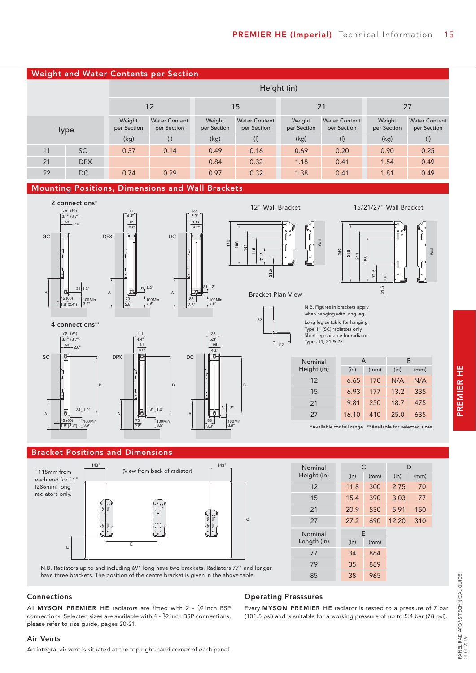

#### Mounting Positions, Dimensions and Wall Brackets



#### Bracket Positions and Dimensions



| Nominal        | C    |      | D     |      |
|----------------|------|------|-------|------|
| Height (in)    | (in) | (mm) | (in)  | (mm) |
| 12             | 11.8 | 300  | 2.75  | 70   |
| 15             | 15.4 | 390  | 3.03  | 77   |
| 21             | 20.9 | 530  | 5.91  | 150  |
| 27             | 27.2 | 690  | 12.20 | 310  |
| <b>Nominal</b> |      | E    |       |      |
| Length (in)    | (in) | (mm) |       |      |
| 77             | 34   | 864  |       |      |
| 79             | 35   | 889  |       |      |
| 85             | 38   | 965  |       |      |

\*Available for full range \*\*Available for selected sizes

6.65 170 6.93 177 9.81 250 16.10 410

when hanging with long leg.

249 ୍  $211$ 85

Wall

Type 11 (SC) radiators only. Short leg suitable for radiator Types 11, 21 & 22.

A B

31.5

(in) (mm) (in) (mm)

N/A N/A 13.2 335 18.7 475 25.0 635

Wall

 $\begin{array}{c} \hline \end{array}$ 

N.B. Radiators up to and including 69" long have two brackets. Radiators 77" and longer have three brackets. The position of the centre bracket is given in the above table.

#### Connections

All MYSON PREMIER HE radiators are fitted with 2 - 1/2 inch BSP connections. Selected sizes are available with 4 - 1/2 inch BSP connections, please refer to size guide, pages 20-21.

## Operating Presssures

Every MYSON PREMIER HE radiator is tested to a pressure of 7 bar (101.5 psi) and is suitable for a working pressure of up to 5.4 bar (78 psi).

## PREMIER HE PREMIER HE

#### Air Vents

An integral air vent is situated at the top right-hand corner of each panel.